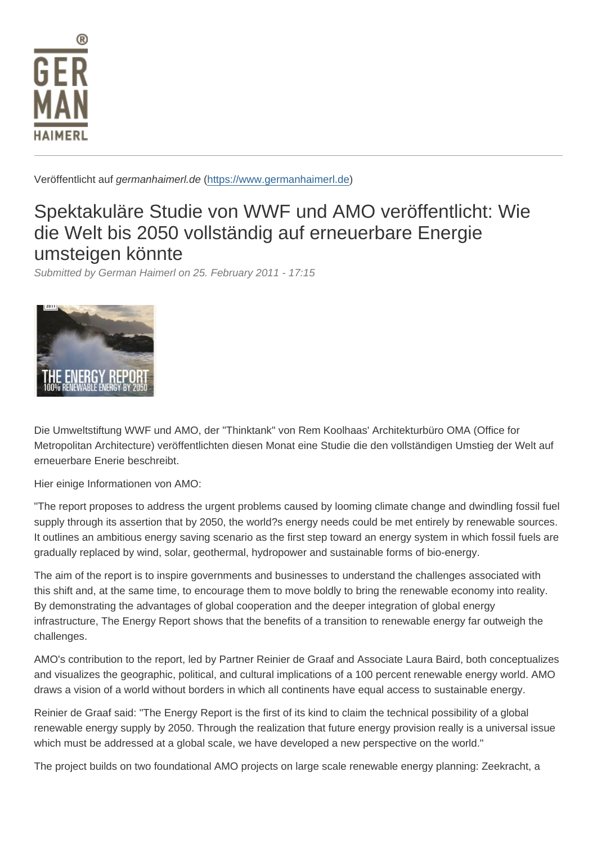Veröffentlicht auf germanhaimerl.de (https://www.germanhaimerl.de)

## Spektakuläre Studie von WWF und AMO veröffentlicht: Wie die Welt bis 2050 vo[llständig auf erneu](https://www.germanhaimerl.de)erbare Energie umsteigen könnte

Submitted by German Haimerl on 25. February 2011 - 17:15

Die Umweltstiftung WWF und AMO, der "Thinktank" von Rem Koolhaas' Architekturbüro OMA (Office for Metropolitan Architecture) veröffentlichten diesen Monat eine Studie die den vollständigen Umstieg der Welt auf erneuerbare Enerie beschreibt.

Hier einige Informationen von AMO:

"The report proposes to address the urgent problems caused by looming climate change and dwindling fossil fuel supply through its assertion that by 2050, the world?s energy needs could be met entirely by renewable sources. It outlines an ambitious energy saving scenario as the first step toward an energy system in which fossil fuels are gradually replaced by wind, solar, geothermal, hydropower and sustainable forms of bio-energy.

The aim of the report is to inspire governments and businesses to understand the challenges associated with this shift and, at the same time, to encourage them to move boldly to bring the renewable economy into reality. By demonstrating the advantages of global cooperation and the deeper integration of global energy infrastructure, The Energy Report shows that the benefits of a transition to renewable energy far outweigh the challenges.

AMO's contribution to the report, led by Partner Reinier de Graaf and Associate Laura Baird, both conceptualizes and visualizes the geographic, political, and cultural implications of a 100 percent renewable energy world. AMO draws a vision of a world without borders in which all continents have equal access to sustainable energy.

Reinier de Graaf said: "The Energy Report is the first of its kind to claim the technical possibility of a global renewable energy supply by 2050. Through the realization that future energy provision really is a universal issue which must be addressed at a global scale, we have developed a new perspective on the world."

The project builds on two foundational AMO projects on large scale renewable energy planning: Zeekracht, a